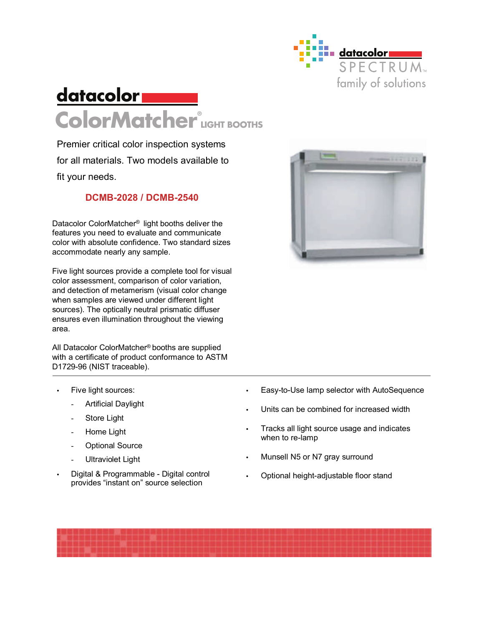

## **datacolor ColorMatcher ® LIGHT BOOTHS**

Premier critical color inspection systems for all materials. Two models available to fit your needs.

## **DCMB-2028 / DCMB-2540**

Datacolor ColorMatcher® light booths deliver the features you need to evaluate and communicate color with absolute confidence. Two standard sizes accommodate nearly any sample.

Five light sources provide a complete tool for visual color assessment, comparison of color variation, and detection of metamerism (visual color change when samples are viewed under different light sources). The optically neutral prismatic diffuser ensures even illumination throughout the viewing area.

All Datacolor ColorMatcher® booths are supplied with a certificate of product conformance to ASTM D1729-96 (NIST traceable).

- Five light sources:
	- Artificial Daylight
	- Store Light
	- Home Light
	- Optional Source
	- Ultraviolet Light
- Digital & Programmable Digital control provides "instant on" source selection



- Easy-to-Use lamp selector with AutoSequence
- Units can be combined for increased width
- Tracks all light source usage and indicates when to re-lamp
- Munsell N5 or N7 gray surround
- Optional height-adjustable floor stand